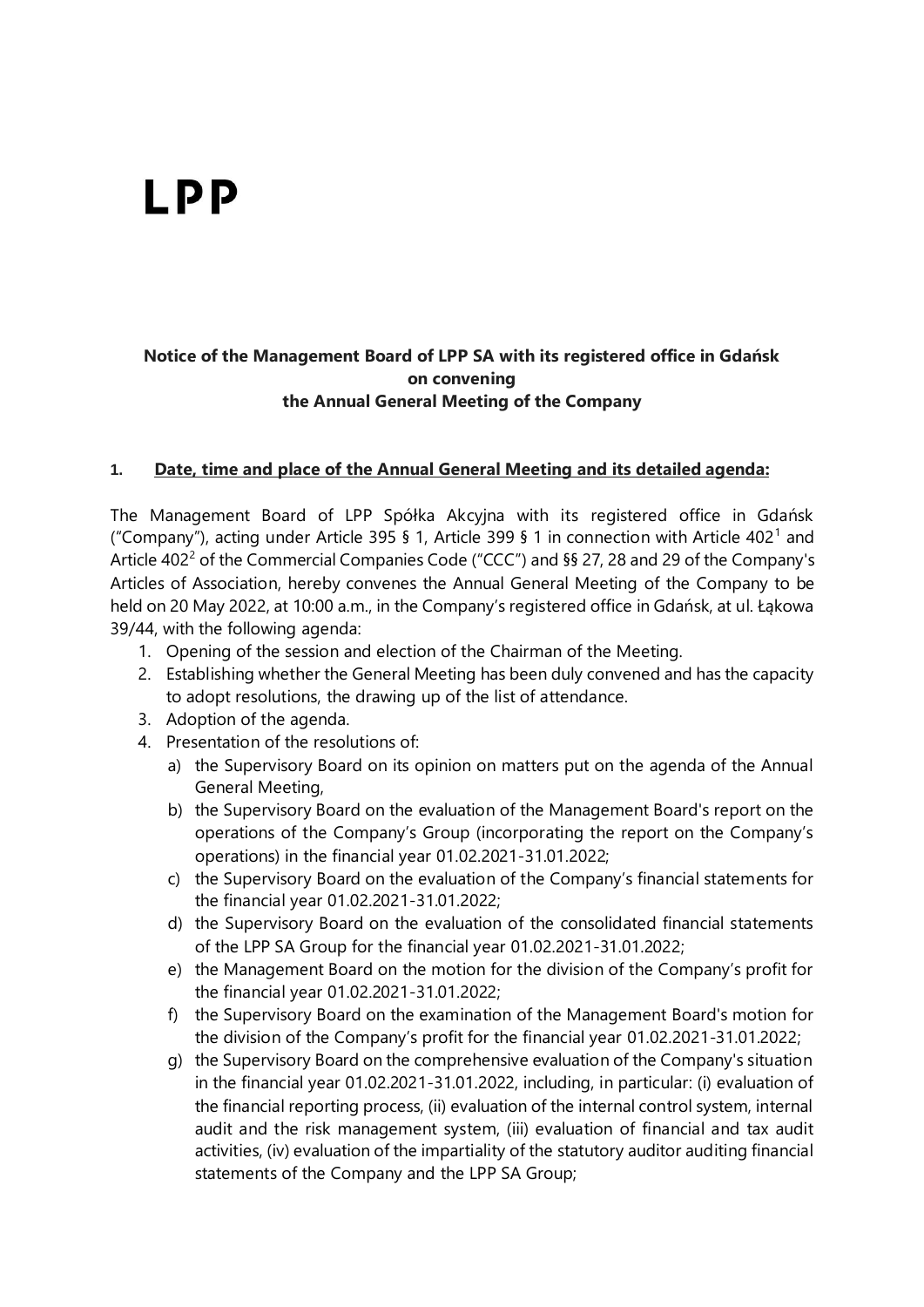# **LPP**

# **Notice of the Management Board of LPP SA with its registered office in Gdańsk on convening the Annual General Meeting of the Company**

### **1. Date, time and place of the Annual General Meeting and its detailed agenda:**

The Management Board of LPP Spółka Akcyjna with its registered office in Gdańsk ("Company"), acting under Article 395 § 1, Article 399 § 1 in connection with Article 402<sup>1</sup> and Article 402<sup>2</sup> of the Commercial Companies Code ("CCC") and §§ 27, 28 and 29 of the Company's Articles of Association, hereby convenes the Annual General Meeting of the Company to be held on 20 May 2022, at 10:00 a.m., in the Company's registered office in Gdańsk, at ul. Łąkowa 39/44, with the following agenda:

- 1. Opening of the session and election of the Chairman of the Meeting.
- 2. Establishing whether the General Meeting has been duly convened and has the capacity to adopt resolutions, the drawing up of the list of attendance.
- 3. Adoption of the agenda.
- 4. Presentation of the resolutions of:
	- a) the Supervisory Board on its opinion on matters put on the agenda of the Annual General Meeting,
	- b) the Supervisory Board on the evaluation of the Management Board's report on the operations of the Company's Group (incorporating the report on the Company's operations) in the financial year 01.02.2021-31.01.2022;
	- c) the Supervisory Board on the evaluation of the Company's financial statements for the financial year 01.02.2021-31.01.2022;
	- d) the Supervisory Board on the evaluation of the consolidated financial statements of the LPP SA Group for the financial year 01.02.2021-31.01.2022;
	- e) the Management Board on the motion for the division of the Company's profit for the financial year 01.02.2021-31.01.2022;
	- f) the Supervisory Board on the examination of the Management Board's motion for the division of the Company's profit for the financial year 01.02.2021-31.01.2022;
	- g) the Supervisory Board on the comprehensive evaluation of the Company's situation in the financial year 01.02.2021-31.01.2022, including, in particular: (i) evaluation of the financial reporting process, (ii) evaluation of the internal control system, internal audit and the risk management system, (iii) evaluation of financial and tax audit activities, (iv) evaluation of the impartiality of the statutory auditor auditing financial statements of the Company and the LPP SA Group;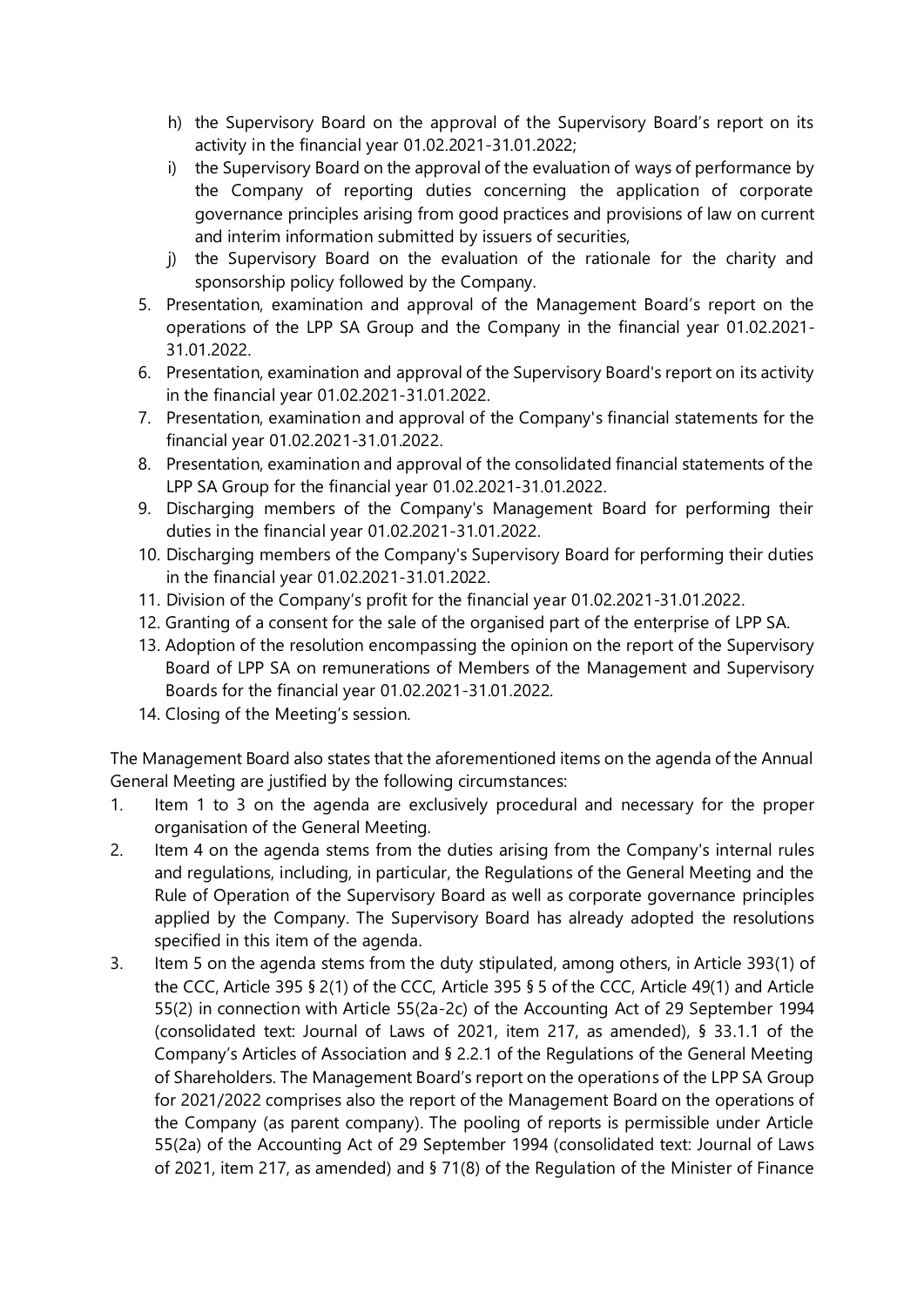- h) the Supervisory Board on the approval of the Supervisory Board's report on its activity in the financial year 01.02.2021-31.01.2022;
- i) the Supervisory Board on the approval of the evaluation of ways of performance by the Company of reporting duties concerning the application of corporate governance principles arising from good practices and provisions of law on current and interim information submitted by issuers of securities,
- j) the Supervisory Board on the evaluation of the rationale for the charity and sponsorship policy followed by the Company.
- 5. Presentation, examination and approval of the Management Board's report on the operations of the LPP SA Group and the Company in the financial year 01.02.2021- 31.01.2022.
- 6. Presentation, examination and approval of the Supervisory Board's report on its activity in the financial year 01.02.2021-31.01.2022.
- 7. Presentation, examination and approval of the Company's financial statements for the financial year 01.02.2021-31.01.2022.
- 8. Presentation, examination and approval of the consolidated financial statements of the LPP SA Group for the financial year 01.02.2021-31.01.2022.
- 9. Discharging members of the Company's Management Board for performing their duties in the financial year 01.02.2021-31.01.2022.
- 10. Discharging members of the Company's Supervisory Board for performing their duties in the financial year 01.02.2021-31.01.2022.
- 11. Division of the Company's profit for the financial year 01.02.2021-31.01.2022.
- 12. Granting of a consent for the sale of the organised part of the enterprise of LPP SA.
- 13. Adoption of the resolution encompassing the opinion on the report of the Supervisory Board of LPP SA on remunerations of Members of the Management and Supervisory Boards for the financial year 01.02.2021-31.01.2022.
- 14. Closing of the Meeting's session.

The Management Board also states that the aforementioned items on the agenda of the Annual General Meeting are justified by the following circumstances:

- 1. Item 1 to 3 on the agenda are exclusively procedural and necessary for the proper organisation of the General Meeting.
- 2. Item 4 on the agenda stems from the duties arising from the Company's internal rules and regulations, including, in particular, the Regulations of the General Meeting and the Rule of Operation of the Supervisory Board as well as corporate governance principles applied by the Company. The Supervisory Board has already adopted the resolutions specified in this item of the agenda.
- 3. Item 5 on the agenda stems from the duty stipulated, among others, in Article 393(1) of the CCC, Article 395 § 2(1) of the CCC, Article 395 § 5 of the CCC, Article 49(1) and Article 55(2) in connection with Article 55(2a-2c) of the Accounting Act of 29 September 1994 (consolidated text: Journal of Laws of 2021, item 217, as amended), § 33.1.1 of the Company's Articles of Association and § 2.2.1 of the Regulations of the General Meeting of Shareholders. The Management Board's report on the operations of the LPP SA Group for 2021/2022 comprises also the report of the Management Board on the operations of the Company (as parent company). The pooling of reports is permissible under Article 55(2a) of the Accounting Act of 29 September 1994 (consolidated text: Journal of Laws of 2021, item 217, as amended) and § 71(8) of the Regulation of the Minister of Finance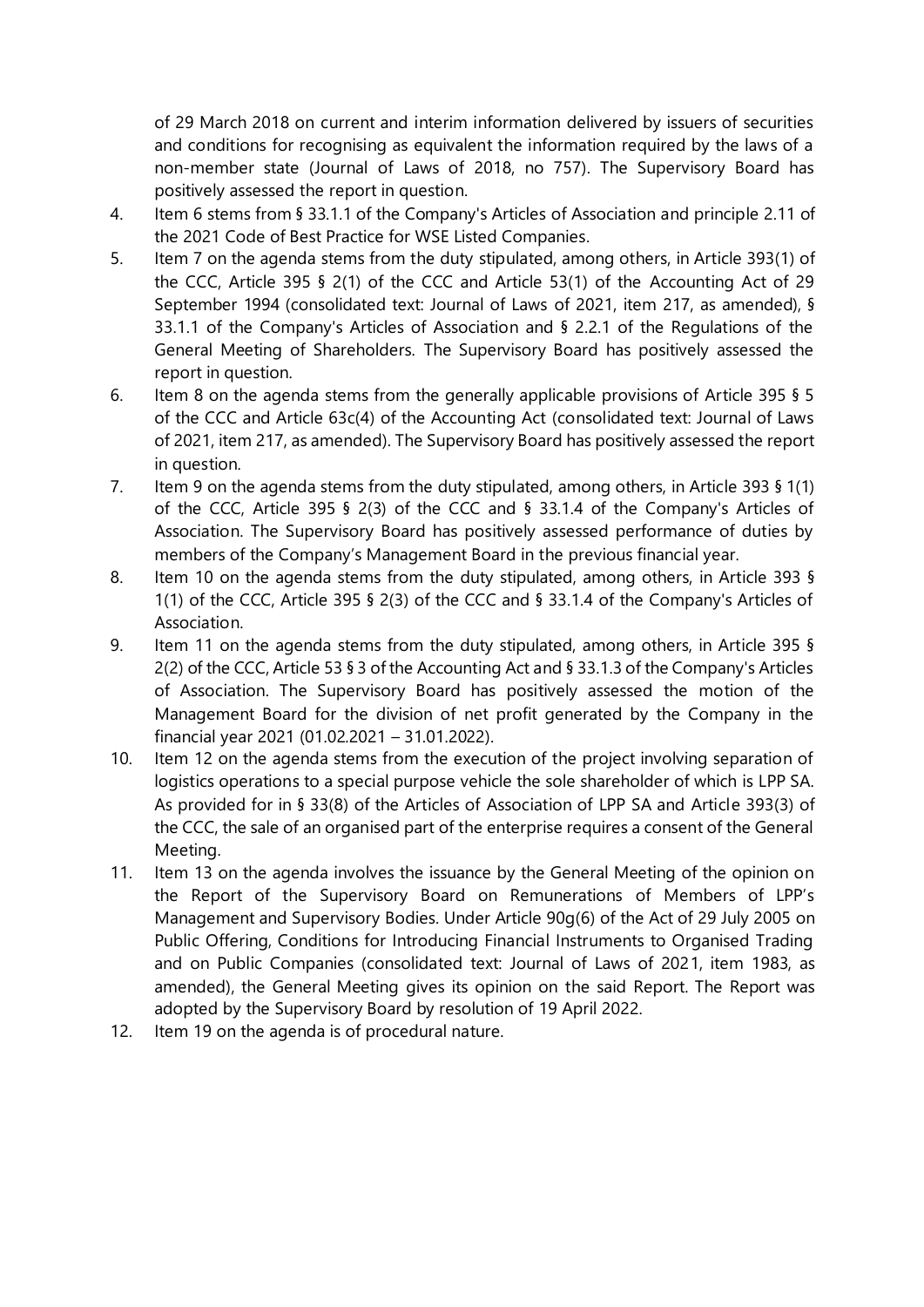of 29 March 2018 on current and interim information delivered by issuers of securities and conditions for recognising as equivalent the information required by the laws of a non-member state (Journal of Laws of 2018, no 757). The Supervisory Board has positively assessed the report in question.

- 4. Item 6 stems from § 33.1.1 of the Company's Articles of Association and principle 2.11 of the 2021 Code of Best Practice for WSE Listed Companies.
- 5. Item 7 on the agenda stems from the duty stipulated, among others, in Article 393(1) of the CCC, Article 395 § 2(1) of the CCC and Article 53(1) of the Accounting Act of 29 September 1994 (consolidated text: Journal of Laws of 2021, item 217, as amended), § 33.1.1 of the Company's Articles of Association and § 2.2.1 of the Regulations of the General Meeting of Shareholders. The Supervisory Board has positively assessed the report in question.
- 6. Item 8 on the agenda stems from the generally applicable provisions of Article 395 § 5 of the CCC and Article 63c(4) of the Accounting Act (consolidated text: Journal of Laws of 2021, item 217, as amended). The Supervisory Board has positively assessed the report in question.
- 7. Item 9 on the agenda stems from the duty stipulated, among others, in Article 393 § 1(1) of the CCC, Article 395 § 2(3) of the CCC and § 33.1.4 of the Company's Articles of Association. The Supervisory Board has positively assessed performance of duties by members of the Company's Management Board in the previous financial year.
- 8. Item 10 on the agenda stems from the duty stipulated, among others, in Article 393 § 1(1) of the CCC, Article 395 § 2(3) of the CCC and § 33.1.4 of the Company's Articles of Association.
- 9. Item 11 on the agenda stems from the duty stipulated, among others, in Article 395 § 2(2) of the CCC, Article 53 § 3 of the Accounting Act and § 33.1.3 of the Company's Articles of Association. The Supervisory Board has positively assessed the motion of the Management Board for the division of net profit generated by the Company in the financial year 2021 (01.02.2021 – 31.01.2022).
- 10. Item 12 on the agenda stems from the execution of the project involving separation of logistics operations to a special purpose vehicle the sole shareholder of which is LPP SA. As provided for in § 33(8) of the Articles of Association of LPP SA and Article 393(3) of the CCC, the sale of an organised part of the enterprise requires a consent of the General Meeting.
- 11. Item 13 on the agenda involves the issuance by the General Meeting of the opinion on the Report of the Supervisory Board on Remunerations of Members of LPP's Management and Supervisory Bodies. Under Article 90g(6) of the Act of 29 July 2005 on Public Offering, Conditions for Introducing Financial Instruments to Organised Trading and on Public Companies (consolidated text: Journal of Laws of 2021, item 1983, as amended), the General Meeting gives its opinion on the said Report. The Report was adopted by the Supervisory Board by resolution of 19 April 2022.
- 12. Item 19 on the agenda is of procedural nature.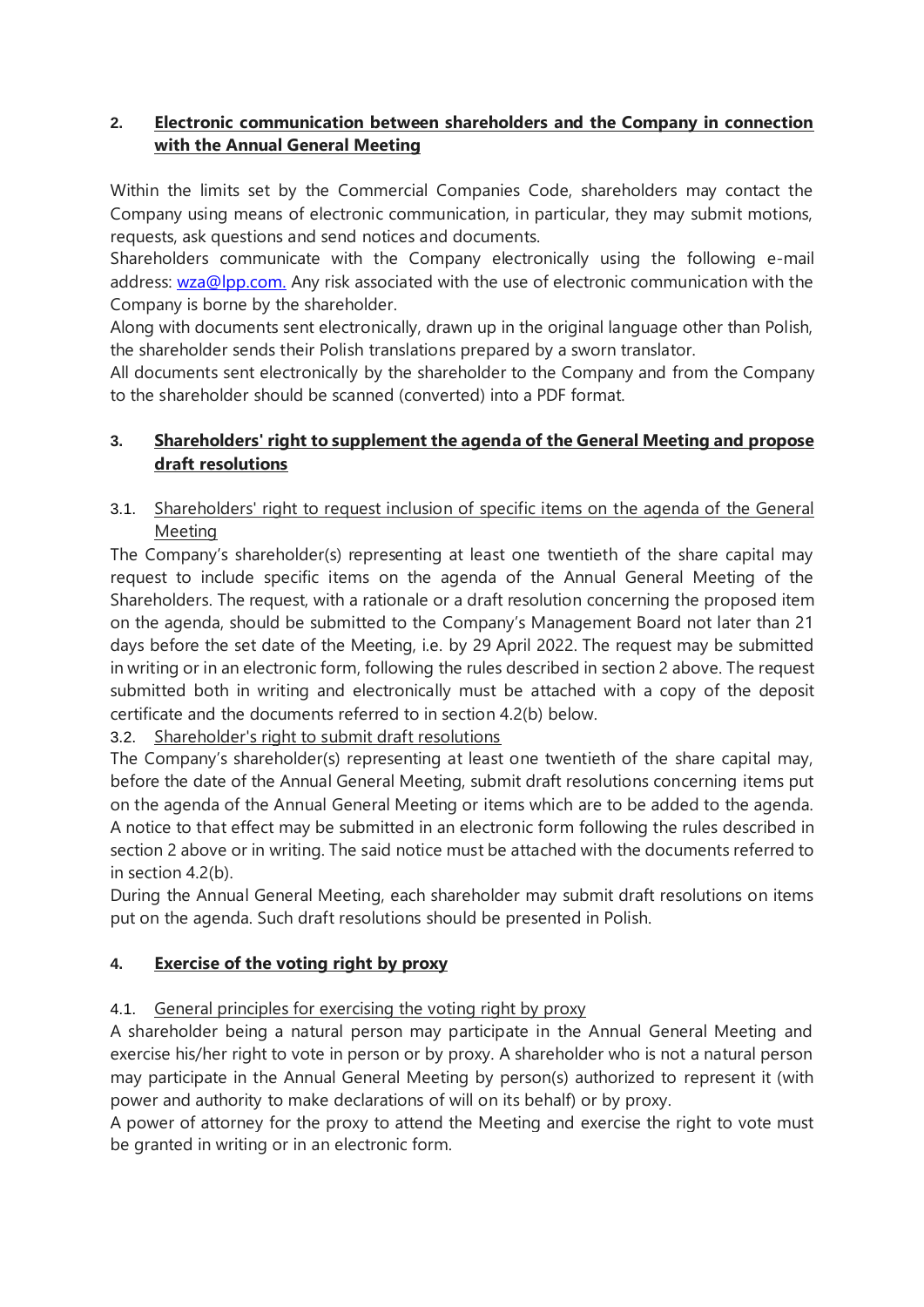# **2. Electronic communication between shareholders and the Company in connection with the Annual General Meeting**

Within the limits set by the Commercial Companies Code, shareholders may contact the Company using means of electronic communication, in particular, they may submit motions, requests, ask questions and send notices and documents.

Shareholders communicate with the Company electronically using the following e-mail address: [wza@lpp.com.](mailto:wza@lpp.com.) Any risk associated with the use of electronic communication with the Company is borne by the shareholder.

Along with documents sent electronically, drawn up in the original language other than Polish, the shareholder sends their Polish translations prepared by a sworn translator.

All documents sent electronically by the shareholder to the Company and from the Company to the shareholder should be scanned (converted) into a PDF format.

# **3. Shareholders' right to supplement the agenda of the General Meeting and propose draft resolutions**

# 3.1. Shareholders' right to request inclusion of specific items on the agenda of the General Meeting

The Company's shareholder(s) representing at least one twentieth of the share capital may request to include specific items on the agenda of the Annual General Meeting of the Shareholders. The request, with a rationale or a draft resolution concerning the proposed item on the agenda, should be submitted to the Company's Management Board not later than 21 days before the set date of the Meeting, i.e. by 29 April 2022. The request may be submitted in writing or in an electronic form, following the rules described in section 2 above. The request submitted both in writing and electronically must be attached with a copy of the deposit certificate and the documents referred to in section 4.2(b) below.

3.2. Shareholder's right to submit draft resolutions

The Company's shareholder(s) representing at least one twentieth of the share capital may, before the date of the Annual General Meeting, submit draft resolutions concerning items put on the agenda of the Annual General Meeting or items which are to be added to the agenda. A notice to that effect may be submitted in an electronic form following the rules described in section 2 above or in writing. The said notice must be attached with the documents referred to in section 4.2(b).

During the Annual General Meeting, each shareholder may submit draft resolutions on items put on the agenda. Such draft resolutions should be presented in Polish.

# **4. Exercise of the voting right by proxy**

# 4.1. General principles for exercising the voting right by proxy

A shareholder being a natural person may participate in the Annual General Meeting and exercise his/her right to vote in person or by proxy. A shareholder who is not a natural person may participate in the Annual General Meeting by person(s) authorized to represent it (with power and authority to make declarations of will on its behalf) or by proxy.

A power of attorney for the proxy to attend the Meeting and exercise the right to vote must be granted in writing or in an electronic form.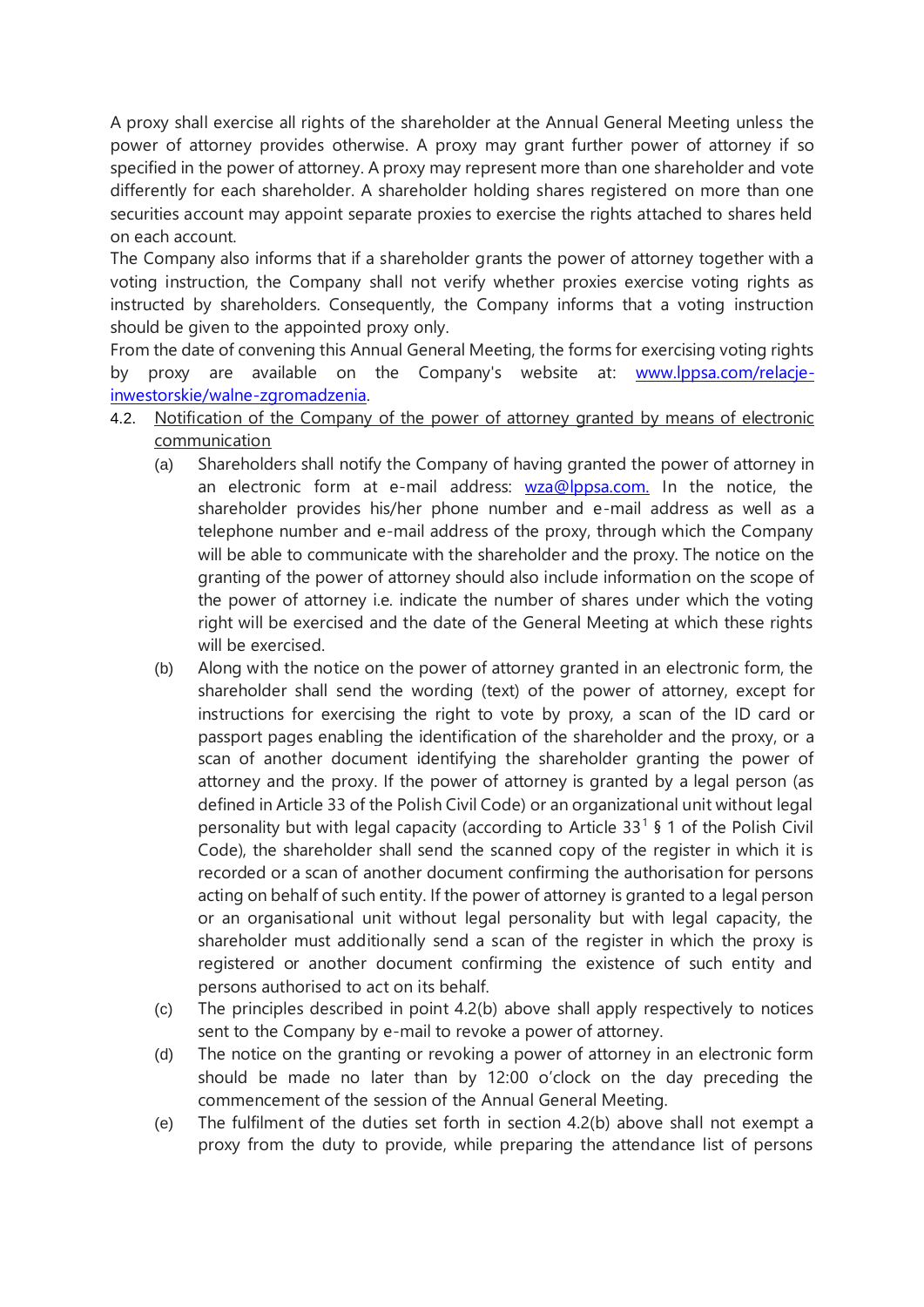A proxy shall exercise all rights of the shareholder at the Annual General Meeting unless the power of attorney provides otherwise. A proxy may grant further power of attorney if so specified in the power of attorney. A proxy may represent more than one shareholder and vote differently for each shareholder. A shareholder holding shares registered on more than one securities account may appoint separate proxies to exercise the rights attached to shares held on each account.

The Company also informs that if a shareholder grants the power of attorney together with a voting instruction, the Company shall not verify whether proxies exercise voting rights as instructed by shareholders. Consequently, the Company informs that a voting instruction should be given to the appointed proxy only.

From the date of convening this Annual General Meeting, the forms for exercising voting rights by proxy are available on the Company's website at: [www.lppsa.com/relacje](http://www.lppsa.com/relacje-inwestorskie/walne-zgromadzenia)[inwestorskie/walne-zgromadzenia.](http://www.lppsa.com/relacje-inwestorskie/walne-zgromadzenia)

- 4.2. Notification of the Company of the power of attorney granted by means of electronic communication
	- (a) Shareholders shall notify the Company of having granted the power of attorney in an electronic form at e-mail address: [wza@lppsa.com.](mailto:wza@lppsa.com.) In the notice, the shareholder provides his/her phone number and e-mail address as well as a telephone number and e-mail address of the proxy, through which the Company will be able to communicate with the shareholder and the proxy. The notice on the granting of the power of attorney should also include information on the scope of the power of attorney i.e. indicate the number of shares under which the voting right will be exercised and the date of the General Meeting at which these rights will be exercised.
	- (b) Along with the notice on the power of attorney granted in an electronic form, the shareholder shall send the wording (text) of the power of attorney, except for instructions for exercising the right to vote by proxy, a scan of the ID card or passport pages enabling the identification of the shareholder and the proxy, or a scan of another document identifying the shareholder granting the power of attorney and the proxy. If the power of attorney is granted by a legal person (as defined in Article 33 of the Polish Civil Code) or an organizational unit without legal personality but with legal capacity (according to Article  $33<sup>1</sup>$  § 1 of the Polish Civil Code), the shareholder shall send the scanned copy of the register in which it is recorded or a scan of another document confirming the authorisation for persons acting on behalf of such entity. If the power of attorney is granted to a legal person or an organisational unit without legal personality but with legal capacity, the shareholder must additionally send a scan of the register in which the proxy is registered or another document confirming the existence of such entity and persons authorised to act on its behalf.
	- (c) The principles described in point 4.2(b) above shall apply respectively to notices sent to the Company by e-mail to revoke a power of attorney.
	- (d) The notice on the granting or revoking a power of attorney in an electronic form should be made no later than by 12:00 o'clock on the day preceding the commencement of the session of the Annual General Meeting.
	- (e) The fulfilment of the duties set forth in section 4.2(b) above shall not exempt a proxy from the duty to provide, while preparing the attendance list of persons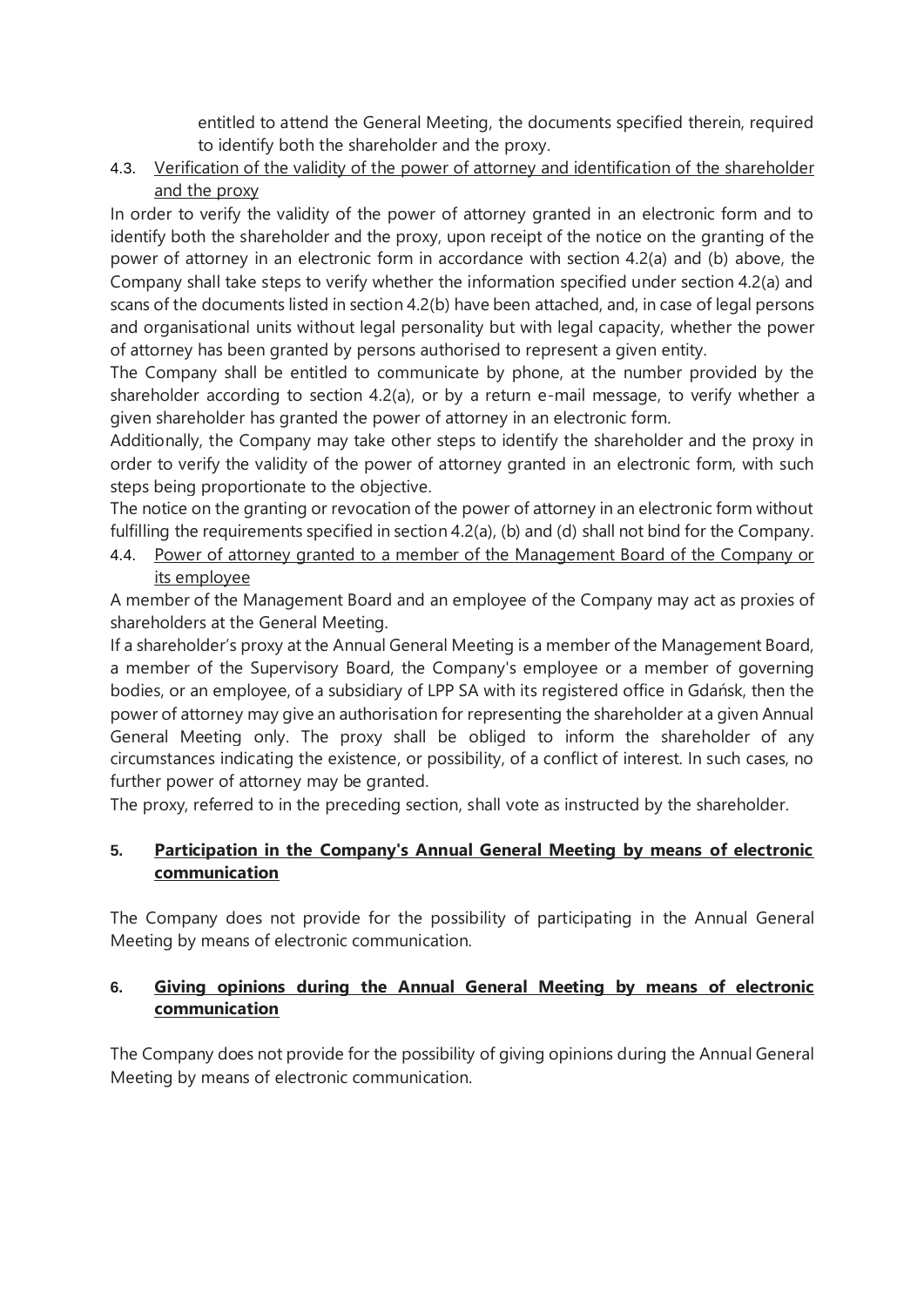entitled to attend the General Meeting, the documents specified therein, required to identify both the shareholder and the proxy.

4.3. Verification of the validity of the power of attorney and identification of the shareholder and the proxy

In order to verify the validity of the power of attorney granted in an electronic form and to identify both the shareholder and the proxy, upon receipt of the notice on the granting of the power of attorney in an electronic form in accordance with section 4.2(a) and (b) above, the Company shall take steps to verify whether the information specified under section 4.2(a) and scans of the documents listed in section 4.2(b) have been attached, and, in case of legal persons and organisational units without legal personality but with legal capacity, whether the power of attorney has been granted by persons authorised to represent a given entity.

The Company shall be entitled to communicate by phone, at the number provided by the shareholder according to section 4.2(a), or by a return e-mail message, to verify whether a given shareholder has granted the power of attorney in an electronic form.

Additionally, the Company may take other steps to identify the shareholder and the proxy in order to verify the validity of the power of attorney granted in an electronic form, with such steps being proportionate to the objective.

The notice on the granting or revocation of the power of attorney in an electronic form without fulfilling the requirements specified in section 4.2(a), (b) and (d) shall not bind for the Company.

4.4. Power of attorney granted to a member of the Management Board of the Company or its employee

A member of the Management Board and an employee of the Company may act as proxies of shareholders at the General Meeting.

If a shareholder's proxy at the Annual General Meeting is a member of the Management Board, a member of the Supervisory Board, the Company's employee or a member of governing bodies, or an employee, of a subsidiary of LPP SA with its registered office in Gdańsk, then the power of attorney may give an authorisation for representing the shareholder at a given Annual General Meeting only. The proxy shall be obliged to inform the shareholder of any circumstances indicating the existence, or possibility, of a conflict of interest. In such cases, no further power of attorney may be granted.

The proxy, referred to in the preceding section, shall vote as instructed by the shareholder.

# **5. Participation in the Company's Annual General Meeting by means of electronic communication**

The Company does not provide for the possibility of participating in the Annual General Meeting by means of electronic communication.

## **6. Giving opinions during the Annual General Meeting by means of electronic communication**

The Company does not provide for the possibility of giving opinions during the Annual General Meeting by means of electronic communication.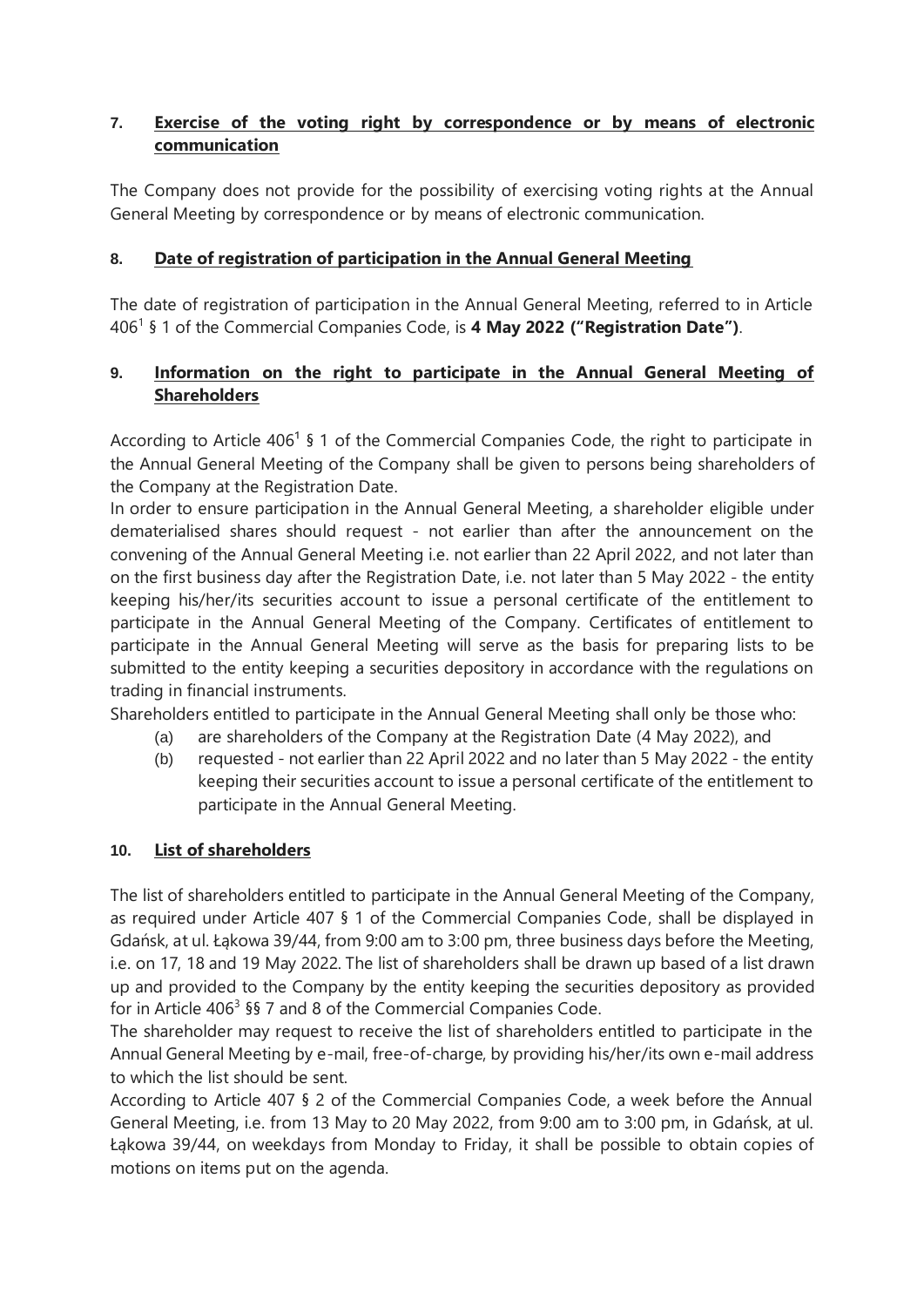# **7. Exercise of the voting right by correspondence or by means of electronic communication**

The Company does not provide for the possibility of exercising voting rights at the Annual General Meeting by correspondence or by means of electronic communication.

# **8. Date of registration of participation in the Annual General Meeting**

The date of registration of participation in the Annual General Meeting, referred to in Article 406<sup>1</sup> § 1 of the Commercial Companies Code, is **4 May 2022 ("Registration Date")**.

### **9. Information on the right to participate in the Annual General Meeting of Shareholders**

According to Article 406<sup>1</sup> § 1 of the Commercial Companies Code, the right to participate in the Annual General Meeting of the Company shall be given to persons being shareholders of the Company at the Registration Date.

In order to ensure participation in the Annual General Meeting, a shareholder eligible under dematerialised shares should request - not earlier than after the announcement on the convening of the Annual General Meeting i.e. not earlier than 22 April 2022, and not later than on the first business day after the Registration Date, i.e. not later than 5 May 2022 - the entity keeping his/her/its securities account to issue a personal certificate of the entitlement to participate in the Annual General Meeting of the Company. Certificates of entitlement to participate in the Annual General Meeting will serve as the basis for preparing lists to be submitted to the entity keeping a securities depository in accordance with the regulations on trading in financial instruments.

Shareholders entitled to participate in the Annual General Meeting shall only be those who:

- (a) are shareholders of the Company at the Registration Date (4 May 2022), and
- (b) requested not earlier than 22 April 2022 and no later than 5 May 2022 the entity keeping their securities account to issue a personal certificate of the entitlement to participate in the Annual General Meeting.

### **10. List of shareholders**

The list of shareholders entitled to participate in the Annual General Meeting of the Company, as required under Article 407 § 1 of the Commercial Companies Code, shall be displayed in Gdańsk, at ul. Łąkowa 39/44, from 9:00 am to 3:00 pm, three business days before the Meeting, i.e. on 17, 18 and 19 May 2022. The list of shareholders shall be drawn up based of a list drawn up and provided to the Company by the entity keeping the securities depository as provided for in Article 406<sup>3</sup> §§ 7 and 8 of the Commercial Companies Code.

The shareholder may request to receive the list of shareholders entitled to participate in the Annual General Meeting by e-mail, free-of-charge, by providing his/her/its own e-mail address to which the list should be sent.

According to Article 407 § 2 of the Commercial Companies Code, a week before the Annual General Meeting, i.e. from 13 May to 20 May 2022, from 9:00 am to 3:00 pm, in Gdańsk, at ul. Łąkowa 39/44, on weekdays from Monday to Friday, it shall be possible to obtain copies of motions on items put on the agenda.